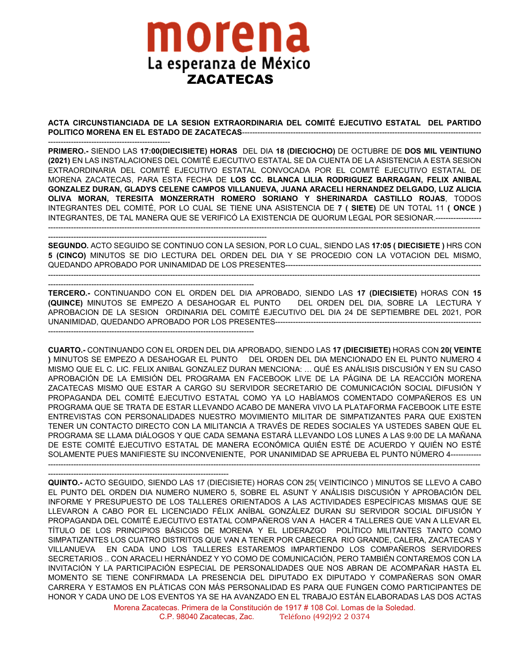## morena La esperanza de México ZACATECAS

**ACTA CIRCUNSTIANCIADA DE LA SESION EXTRAORDINARIA DEL COMITÉ EJECUTIVO ESTATAL DEL PARTIDO POLITICO MORENA EN EL ESTADO DE ZACATECAS**----------------------------------------------------------------------------------------------

------------------------------------------------ **PRIMERO.-** SIENDO LAS **17:00(DIECISIETE) HORAS** DEL DIA **18 (DIECIOCHO)** DE OCTUBRE DE **DOS MIL VEINTIUNO (2021)** EN LAS INSTALACIONES DEL COMITÉ EJECUTIVO ESTATAL SE DA CUENTA DE LA ASISTENCIA A ESTA SESION EXTRAORDINARIA DEL COMITÉ EJECUTIVO ESTATAL CONVOCADA POR EL COMITÉ EJECUTIVO ESTATAL DE MORENA ZACATECAS, PARA ESTA FECHA DE **LOS CC. BLANCA LILIA RODRIGUEZ BARRAGAN, FELIX ANIBAL GONZALEZ DURAN, GLADYS CELENE CAMPOS VILLANUEVA, JUANA ARACELI HERNANDEZ DELGADO, LUZ ALICIA OLIVA MORAN, TERESITA MONZERRATH ROMERO SORIANO Y SHERINARDA CASTILLO ROJAS**, TODOS INTEGRANTES DEL COMITÉ, POR LO CUAL SE TIENE UNA ASISTENCIA DE **7 ( SIETE)** DE UN TOTAL 11 **( ONCE )** INTEGRANTES, DE TAL MANERA QUE SE VERIFICÓ LA EXISTENCIA DE QUORUM LEGAL POR SESIONAR.------------------ --------------------------------------------------------------------------------------------------------------------------------------------------------------------------

-------------------------------------------------------------------------------------- **SEGUNDO.** ACTO SEGUIDO SE CONTINUO CON LA SESION, POR LO CUAL, SIENDO LAS **17:05 ( DIECISIETE )** HRS CON **5 (CINCO)** MINUTOS SE DIO LECTURA DEL ORDEN DEL DIA Y SE PROCEDIO CON LA VOTACION DEL MISMO, QUEDANDO APROBADO POR UNINAMIDAD DE LOS PRESENTES-----------------------------------------------------------------------------

-------------------------------------------------------------------------------------------------------------------------------------------------------------------------- ---------------------------------------------------------------------------------

**TERCERO.-** CONTINUANDO CON EL ORDEN DEL DIA APROBADO, SIENDO LAS **17 (DIECISIETE)** HORAS CON **15 (QUINCE)** MINUTOS SE EMPEZO A DESAHOGAR EL PUNTO DEL ORDEN DEL DIA, SOBRE LA LECTURA Y APROBACION DE LA SESION ORDINARIA DEL COMITÉ EJECUTIVO DEL DIA 24 DE SEPTIEMBRE DEL 2021, POR UNANIMIDAD, QUEDANDO APROBADO POR LOS PRESENTES--------------------------------------------------------------------------------- ---------------------------------------------------------------------------------

**CUARTO.-** CONTINUANDO CON EL ORDEN DEL DIA APROBADO, SIENDO LAS **17 (DIECISIETE)** HORAS CON **20( VEINTE )** MINUTOS SE EMPEZO A DESAHOGAR EL PUNTO DEL ORDEN DEL DIA MENCIONADO EN EL PUNTO NUMERO 4 MISMO QUE EL C. LIC. FELIX ANIBAL GONZALEZ DURAN MENCIONA: … QUÉ ES ANÁLISIS DISCUSIÓN Y EN SU CASO APROBACIÓN DE LA EMISIÓN DEL PROGRAMA EN FACEBOOK LIVE DE LA PÁGINA DE LA REACCIÓN MORENA ZACATECAS MISMO QUE ESTAR A CARGO SU SERVIDOR SECRETARIO DE COMUNICACIÓN SOCIAL DIFUSIÓN Y PROPAGANDA DEL COMITÉ EJECUTIVO ESTATAL COMO YA LO HABÍAMOS COMENTADO COMPAÑEROS ES UN PROGRAMA QUE SE TRATA DE ESTAR LLEVANDO ACABO DE MANERA VIVO LA PLATAFORMA FACEBOOK LITE ESTE ENTREVISTAS CON PERSONALIDADES NUESTRO MOVIMIENTO MILITAR DE SIMPATIZANTES PARA QUE EXISTEN TENER UN CONTACTO DIRECTO CON LA MILITANCIA A TRAVÉS DE REDES SOCIALES YA USTEDES SABEN QUE EL PROGRAMA SE LLAMA DIÁLOGOS Y QUE CADA SEMANA ESTARÁ LLEVANDO LOS LUNES A LAS 9:00 DE LA MAÑANA DE ESTE COMITÉ EJECUTIVO ESTATAL DE MANERA ECONÓMICA QUIÉN ESTÉ DE ACUERDO Y QUIÉN NO ESTÉ SOLAMENTE PUES MANIFIESTE SU INCONVENIENTE, POR UNANIMIDAD SE APRUEBA EL PUNTO NÚMERO 4------------

--------------------------------------------------------------------------------------------------------------------------------------------------------------------------

-----------------------------------------------------------------------

**QUINTO.-** ACTO SEGUIDO, SIENDO LAS 17 (DIECISIETE) HORAS CON 25( VEINTICINCO ) MINUTOS SE LLEVO A CABO EL PUNTO DEL ORDEN DIA NUMERO NUMERO 5, SOBRE EL ASUNT Y ANÁLISIS DISCUSIÓN Y APROBACIÓN DEL INFORME Y PRESUPUESTO DE LOS TALLERES ORIENTADOS A LAS ACTIVIDADES ESPECÍFICAS MISMAS QUE SE LLEVARON A CABO POR EL LICENCIADO FÉLIX ANÍBAL GONZÁLEZ DURAN SU SERVIDOR SOCIAL DIFUSIÓN Y PROPAGANDA DEL COMITÉ EJECUTIVO ESTATAL COMPAÑEROS VAN A HACER 4 TALLERES QUE VAN A LLEVAR EL TÍTULO DE LOS PRINCIPIOS BÁSICOS DE MORENA Y EL LIDERAZGO POLÍTICO MILITANTES TANTO COMO SIMPATIZANTES LOS CUATRO DISTRITOS QUE VAN A TENER POR CABECERA RIO GRANDE, CALERA, ZACATECAS Y VILLANUEVA EN CADA UNO LOS TALLERES ESTAREMOS IMPARTIENDO LOS COMPAÑEROS SERVIDORES SECRETARIOS .. CON ARACELI HERNÁNDEZ Y YO COMO DE COMUNICACIÓN, PERO TAMBIÉN CONTAREMOS CON LA INVITACIÓN Y LA PARTICIPACIÓN ESPECIAL DE PERSONALIDADES QUE NOS ABRAN DE ACOMPAÑAR HASTA EL MOMENTO SE TIENE CONFIRMADA LA PRESENCIA DEL DIPUTADO EX DIPUTADO Y COMPAÑERAS SON OMAR CARRERA Y ESTAMOS EN PLÁTICAS CON MÁS PERSONALIDAD ES PARA QUE FUNGEN COMO PARTICIPANTES DE HONOR Y CADA UNO DE LOS EVENTOS YA SE HA AVANZADO EN EL TRABAJO ESTÁN ELABORADAS LAS DOS ACTAS

> Morena Zacatecas. Primera de la Constitución de 1917 # 108 Col. Lomas de la Soledad. C.P. 98040 Zacatecas, Zac. Teléfono (492)92 2 0374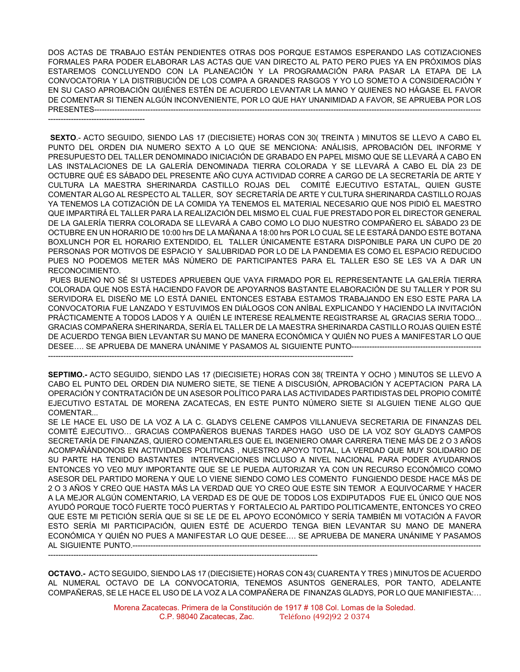DOS ACTAS DE TRABAJO ESTÁN PENDIENTES OTRAS DOS PORQUE ESTAMOS ESPERANDO LAS COTIZACIONES FORMALES PARA PODER ELABORAR LAS ACTAS QUE VAN DIRECTO AL PATO PERO PUES YA EN PRÓXIMOS DÍAS ESTAREMOS CONCLUYENDO CON LA PLANEACIÓN Y LA PROGRAMACIÓN PARA PASAR LA ETAPA DE LA CONVOCATORIA Y LA DISTRIBUCIÓN DE LOS COMPA A GRANDES RASGOS Y YO LO SOMETO A CONSIDERACIÓN Y EN SU CASO APROBACIÓN QUIÉNES ESTÉN DE ACUERDO LEVANTAR LA MANO Y QUIENES NO HÁGASE EL FAVOR DE COMENTAR SI TIENEN ALGÚN INCONVENIENTE, POR LO QUE HAY UNANIMIDAD A FAVOR, SE APRUEBA POR LOS PRESENTES--------------------------------------------------------------------------------------------------------------------------------------------------------

--------------------------------------

**SEXTO**.- ACTO SEGUIDO, SIENDO LAS 17 (DIECISIETE) HORAS CON 30( TREINTA ) MINUTOS SE LLEVO A CABO EL PUNTO DEL ORDEN DIA NUMERO SEXTO A LO QUE SE MENCIONA: ANÁLISIS, APROBACIÓN DEL INFORME Y PRESUPUESTO DEL TALLER DENOMINADO INICIACIÓN DE GRABADO EN PAPEL MISMO QUE SE LLEVARÁ A CABO EN LAS INSTALACIONES DE LA GALERÍA DENOMINADA TIERRA COLORADA Y SE LLEVARÁ A CABO EL DÍA 23 DE OCTUBRE QUÉ ES SÁBADO DEL PRESENTE AÑO CUYA ACTIVIDAD CORRE A CARGO DE LA SECRETARÍA DE ARTE Y CULTURA LA MAESTRA SHERINARDA CASTILLO ROJAS DEL COMITÉ EJECUTIVO ESTATAL, QUIEN GUSTE COMENTAR ALGO AL RESPECTO AL TALLER, SOY SECRETARÍA DE ARTE Y CULTURA SHERINARDA CASTILLO ROJAS YA TENEMOS LA COTIZACIÓN DE LA COMIDA YA TENEMOS EL MATERIAL NECESARIO QUE NOS PIDIÓ EL MAESTRO QUE IMPARTIRÁ EL TALLER PARA LA REALIZACIÓN DEL MISMO EL CUAL FUE PRESTADO POR EL DIRECTOR GENERAL DE LA GALERÍA TIERRA COLORADA SE LLEVARÁ A CABO COMO LO DIJO NUESTRO COMPAÑERO EL SÁBADO 23 DE OCTUBRE EN UN HORARIO DE 10:00 hrs DE LA MAÑANA A 18:00 hrs POR LO CUAL SE LE ESTARÁ DANDO ESTE BOTANA BOXLUNCH POR EL HORARIO EXTENDIDO, EL TALLER ÚNICAMENTE ESTARA DISPONIBLE PARA UN CUPO DE 20 PERSONAS POR MOTIVOS DE ESPACIO Y SALUBRIDAD POR LO DE LA PANDEMIA ES COMO EL ESPACIO REDUCIDO PUES NO PODEMOS METER MÁS NÚMERO DE PARTICIPANTES PARA EL TALLER ESO SE LES VA A DAR UN RECONOCIMIENTO.

PUES BUENO NO SÉ SI USTEDES APRUEBEN QUE VAYA FIRMADO POR EL REPRESENTANTE LA GALERÍA TIERRA COLORADA QUE NOS ESTÁ HACIENDO FAVOR DE APOYARNOS BASTANTE ELABORACIÓN DE SU TALLER Y POR SU SERVIDORA EL DISEÑO ME LO ESTÁ DANIEL ENTONCES ESTABA ESTAMOS TRABAJANDO EN ESO ESTE PARA LA CONVOCATORIA FUE LANZADO Y ESTUVIMOS EN DIÁLOGOS CON ANÍBAL EXPLICANDO Y HACIENDO LA INVITACIÓN PRÁCTICAMENTE A TODOS LADOS Y A QUIÉN LE INTERESE REALMENTE REGISTRARSE AL GRACIAS SERIA TODO... GRACIAS COMPAÑERA SHERINARDA, SERÍA EL TALLER DE LA MAESTRA SHERINARDA CASTILLO ROJAS QUIEN ESTÉ DE ACUERDO TENGA BIEN LEVANTAR SU MANO DE MANERA ECONÓMICA Y QUIÉN NO PUES A MANIFESTAR LO QUE DESEE…. SE APRUEBA DE MANERA UNÁNIME Y PASAMOS AL SIGUIENTE PUNTO--------------------------------------------------- ------------------------------------------------------------------------------------------------------------------------

**SEPTIMO.-** ACTO SEGUIDO, SIENDO LAS 17 (DIECISIETE) HORAS CON 38( TREINTA Y OCHO ) MINUTOS SE LLEVO A CABO EL PUNTO DEL ORDEN DIA NUMERO SIETE, SE TIENE A DISCUSIÓN, APROBACIÓN Y ACEPTACION PARA LA OPERACIÓN Y CONTRATACIÓN DE UN ASESOR POLÍTICO PARA LAS ACTIVIDADES PARTIDISTAS DEL PROPIO COMITÉ EJECUTIVO ESTATAL DE MORENA ZACATECAS, EN ESTE PUNTO NÚMERO SIETE SI ALGUIEN TIENE ALGO QUE

COMENTAR...

SE LE HACE EL USO DE LA VOZ A LA C. GLADYS CELENE CAMPOS VILLANUEVA SECRETARIA DE FINANZAS DEL COMITÉ EJECUTIVO… GRACIAS COMPAÑEROS BUENAS TARDES HAGO USO DE LA VOZ SOY GLADYS CAMPOS SECRETARÍA DE FINANZAS, QUIERO COMENTARLES QUE EL INGENIERO OMAR CARRERA TIENE MÁS DE 2 O 3 AÑOS ACOMPAÑÁNDONOS EN ACTIVIDADES POLITICAS , NUESTRO APOYO TOTAL, LA VERDAD QUE MUY SOLIDARIO DE SU PARTE HA TENIDO BASTANTES INTERVENCIONES INCLUSO A NIVEL NACIONAL PARA PODER AYUDARNOS ENTONCES YO VEO MUY IMPORTANTE QUE SE LE PUEDA AUTORIZAR YA CON UN RECURSO ECONÓMICO COMO ASESOR DEL PARTIDO MORENA Y QUE LO VIENE SIENDO COMO LES COMENTO FUNGIENDO DESDE HACE MÁS DE 2 O 3 AÑOS Y CREO QUE HASTA MÁS LA VERDAD QUE YO CREO QUE ESTE SIN TEMOR A EQUIVOCARME Y HACER A LA MEJOR ALGÚN COMENTARIO, LA VERDAD ES DE QUE DE TODOS LOS EXDIPUTADOS FUE EL ÚNICO QUE NOS AYUDÓ PORQUE TOCÓ FUERTE TOCÓ PUERTAS Y FORTALECIO AL PARTIDO POLITICAMENTE, ENTONCES YO CREO QUE ESTE MI PETICIÓN SERÍA QUE SI SE LE DE EL APOYO ECONÓMICO Y SERÍA TAMBIÉN MI VOTACIÓN A FAVOR ESTO SERÍA MI PARTICIPACIÓN, QUIEN ESTÉ DE ACUERDO TENGA BIEN LEVANTAR SU MANO DE MANERA ECONÓMICA Y QUIÉN NO PUES A MANIFESTAR LO QUE DESEE…. SE APRUEBA DE MANERA UNÁNIME Y PASAMOS AL SIGUIENTE PUNTO.-----------------------------------------------------------------------------------------------------------------------------------------

----------------------------------------------------------------------------------------------------------

**OCTAVO.-** ACTO SEGUIDO, SIENDO LAS 17 (DIECISIETE) HORAS CON 43( CUARENTA Y TRES ) MINUTOS DE ACUERDO AL NUMERAL OCTAVO DE LA CONVOCATORIA, TENEMOS ASUNTOS GENERALES, POR TANTO, ADELANTE COMPAÑERAS, SE LE HACE EL USO DE LA VOZ A LA COMPAÑERA DE FINANZAS GLADYS, POR LO QUE MANIFIESTA:…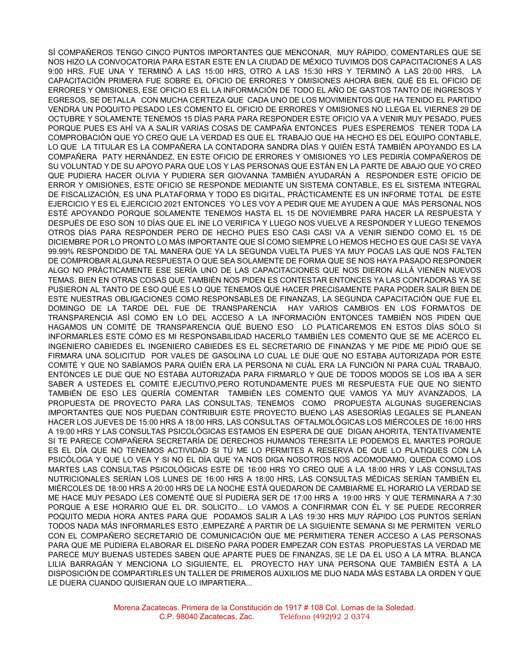SÍ COMPAÑEROS TENGO CINCO PUNTOS IMPORTANTES QUE MENCONAR, MUY RÁPIDO, COMENTARLES QUE SE NOS HIZO LA CONVOCATORIA PARA ESTAR ESTE EN LA CIUDAD DE MÉXICO TUVIMOS DOS CAPACITACIONES A LAS 9:00 HRS, FUE UNA Y TERMINÓ A LAS 15:00 HRS, OTRO A LAS 15:30 HRS Y TERMINÓ A LAS 20:00 HRS, LA CAPACITACIÓN PRIMERA FUE SOBRE EL OFICIO DE ERRORES Y OMISIONES AHORA BIEN, QUÉ ES EL OFICIO DE ERRORES Y OMISIONES, ESE OFICIO ES EL LA INFORMACIÓN DE TODO EL AÑO DE GASTOS TANTO DE INGRESOS Y EGRESOS, SE DETALLA CON MUCHA CERTEZA QUE CADA UNO DE LOS MOVIMIENTOS QUE HA TENIDO EL PARTIDO VENDRA UN POQUITO PESADO LES COMENTO EL OFICIO DE ERRORES Y OMISIONES NO LLEGA EL VIERNES 29 DE OCTUBRE Y SOLAMENTE TENEMOS 15 DÍAS PARA PARA RESPONDER ESTE OFICIO VA A VENIR MUY PESADO, PUES PORQUE PUES ES AHÍ VA A SALIR VARIAS COSAS DE CAMPAÑA ENTONCES PUES ESPEREMOS TENER TODA LA COMPROBACIÓN QUE YO CREO QUE LA VERDAD ES QUE EL TRABAJO QUE HA HECHO ES DEL EQUIPO CONTABLE, LO QUE LA TITULAR ES LA COMPAÑERA LA CONTADORA SANDRA DÍAS Y QUIÉN ESTÁ TAMBIÉN APOYANDO ES LA COMPAÑERA PATY HERNÁNDEZ, EN ESTE OFICIO DE ERRORES Y OMISIONES YO LES PEDIRÍA COMPAÑEROS DE SU VOLUNTAD Y DE SU APOYO PARA QUE LOS Y LAS PERSONAS QUE ESTÁN EN LA PARTE DE ABAJO QUE YO CREO QUE PUDIERA HACER OLIVIA Y PUDIERA SER GIOVANNA TAMBIÉN AYUDARÁN A RESPONDER ESTE OFICIO DE ERROR Y OMISIONES, ESTE OFICIO SE RESPONDE MEDIANTE UN SISTEMA CONTABLE, ES EL SISTEMA INTEGRAL DE FISCALIZACIÓN, ES UNA PLATAFORMA Y TODO ES DIGITAL, PRÁCTICAMENTE ES UN INFORME TOTAL DE ESTE EJERCICIO Y ES EL EJERCICIO 2021 ENTONCES YO LES VOY A PEDIR QUE ME AYUDEN A QUE MÁS PERSONAL NOS ESTÉ APOYANDO PORQUE SOLAMENTE TENEMOS HASTA EL 15 DE NOVIEMBRE PARA HACER LA RESPUESTA Y DESPUÉS DE ESO SON 10 DÍAS QUE EL INE LO VERIFICA Y LUEGO NOS VUELVE A RESPONDER Y LUEGO TENEMOS OTROS DÍAS PARA RESPONDER PERO DE HECHO PUES ESO CASI CASI VA A VENIR SIENDO COMO EL 15 DE DICIEMBRE POR LO PRONTO LO MÁS IMPORTANTE QUE SÍ COMO SIEMPRE LO HEMOS HECHO ES QUE CASI SE VAYA 99.99% RESPONDIDO DE TAL MANERA QUE YA LA SEGUNDA VUELTA PUES YA MUY POCAS LAS QUE NOS FALTEN DE COMPROBAR ALGUNA RESPUESTA O QUE SEA SOLAMENTE DE FORMA QUE SE NOS HAYA PASADO RESPONDER ALGO NO PRÁCTICAMENTE ESE SERÍA UNO DE LAS CAPACITACIONES QUE NOS DIERON ALLÁ VIENEN NUEVOS TEMAS. BIEN EN OTRAS COSAS QUE TAMBIÉN NOS PIDEN ES CONTESTAR ENTONCES YA LAS CONTADORAS YA SE PUSIERON AL TANTO DE ESO QUÉ ES LO QUE TENEMOS QUE HACER PRECISAMENTE PARA PODER SALIR BIEN DE ESTE NUESTRAS OBLIGACIONES COMO RESPONSABLES DE FINANZAS, LA SEGUNDA CAPACITACIÓN QUE FUE EL DOMINGO DE LA TARDE DEL FUE DE TRANSPARENCIA HAY VARIOS CAMBIOS EN LOS FORMATOS DE TRANSPARENCIA ASÍ COMO EN LO DEL ACCESO A LA INFORMACIÓN ENTONCES TAMBIÉN NOS PIDEN QUE HAGAMOS UN COMITÉ DE TRANSPARENCIA QUÉ BUENO ESO LO PLATICAREMOS EN ESTOS DÍAS SÓLO SI INFORMARLES ESTE CÓMO ES MI RESPONSABILIDAD HACERLO TAMBIÉN LES COMENTO QUE SE ME ACERCO EL INGENIERO CABIEDES EL INGENIERO CABIEDES ES EL SECRETARIO DE FINANZAS Y ME PIDE ME PIDIÓ QUE SE FIRMARA UNA SOLICITUD POR VALES DE GASOLINA LO CUAL LE DIJE QUE NO ESTABA AUTORIZADA POR ESTE COMITÉ Y QUE NO SABÍAMOS PARA QUIÉN ERA LA PERSONA NI CUÁL ERA LA FUNCIÓN NI PARA CUAL TRABAJO, ENTONCES LE DIJE QUE NO ESTABA AUTORIZADA PARA FIRMARLO Y QUE DE TODOS MODOS SE LOS IBA A SER SABER A USTEDES EL COMITÉ EJECUTIVO,PERO ROTUNDAMENTE PUES MI RESPUESTA FUE QUE NO SIENTO TAMBIÉN DE ESO LES QUERÍA COMENTAR TAMBIÉN LES COMENTO QUE VAMOS YA MUY AVANZADOS, LA PROPUESTA DE PROYECTO PARA LAS CONSULTAS, TENEMOS COMO PROPUESTA ALGUNAS SUGERENCIAS IMPORTANTES QUE NOS PUEDAN CONTRIBUIR ESTE PROYECTO BUENO LAS ASESORÍAS LEGALES SE PLANEAN HACER LOS JUEVES DE 15:00 HRS A 18:00 HRS, LAS CONSULTAS OFTALMOLÓGICAS LOS MIÉRCOLES DE 16:00 HRS A 19:00 HRS Y LAS CONSULTAS PSICOLÓGICAS ESTAMOS EN ESPERA DE QUE DIGAN AHORITA, TENTATIVAMENTE SI TE PARECE COMPAÑERA SECRETARÍA DE DERECHOS HUMANOS TERESITA LE PODEMOS EL MARTES PORQUE ES EL DÍA QUE NO TENEMOS ACTIVIDAD SI TÚ ME LO PERMITES A RESERVA DE QUE LO PLATIQUES CON LA PSICÓLOGA Y QUE LO VEA Y SI NO EL DÍA QUE YA NOS DIGA NOSOTROS NOS ACOMODAMO, QUEDA COMO LOS MARTES LAS CONSULTAS PSICOLÓGICAS ESTE DE 16:00 HRS YO CREO QUE A LA 18:00 HRS Y LAS CONSULTAS NUTRICIONALES SERÍAN LOS LUNES DE 16:00 HRS A 18:00 HRS, LAS CONSULTAS MÉDICAS SERÍAN TAMBIÉN EL MIÉRCOLES DE 18:00 HRS A 20:00 HRS DE LA NOCHE ESTÁ QUEDARON DE CAMBIARME EL HORARIO LA VERDAD SE ME HACE MUY PESADO LES COMENTÉ QUE SÍ PUDIERA SER DE 17:00 HRS A 19:00 HRS Y QUE TERMINARA A 7:30 PORQUE A ESE HORARIO QUE EL DR. SOLICITO... LO VAMOS A CONFIRMAR CON ÉL Y SE PUEDE RECORRER POQUITO MEDIA HORA ANTES PARA QUE PODAMOS SALIR A LAS 19:30 HRS MUY RÁPIDO LOS PUNTOS SERÍAN TODOS NADA MÁS INFORMARLES ESTO ,EMPEZARÉ A PARTIR DE LA SIGUIENTE SEMANA SI ME PERMITEN VERLO CON EL COMPAÑERO SECRETARIO DE COMUNICACIÓN QUE ME PERMITIERA TENER ACCESO A LAS PERSONAS PARA QUE ME PUDIERA ELABORAR EL DISEÑO PARA PODER EMPEZAR CON ESTAS PROPUESTAS LA VERDAD ME PARECE MUY BUENAS USTEDES SABEN QUE APARTE PUES DE FINANZAS, SE LE DA EL USO A LA MTRA. BLANCA LILIA BARRAGÁN Y MENCIONA LO SIGUIENTE, EL PROYECTO HAY UNA PERSONA QUE TAMBIÉN ESTÁ A LA DISPOSICIÓN DE COMPARTIRLES UN TALLER DE PRIMEROS AUXILIOS ME DIJO NADA MÁS ESTABA LA ORDEN Y QUE LE DIJERA CUANDO QUISIERAN QUE LO IMPARTIERA...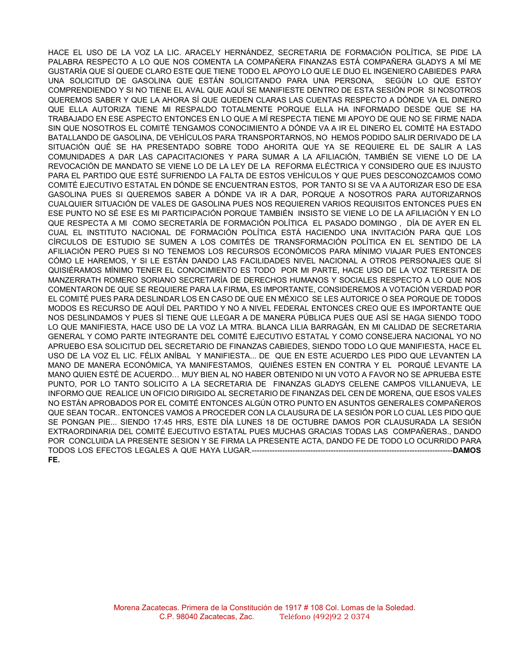HACE EL USO DE LA VOZ LA LIC. ARACELY HERNÁNDEZ, SECRETARIA DE FORMACIÓN POLÍTICA, SE PIDE LA PALABRA RESPECTO A LO QUE NOS COMENTA LA COMPAÑERA FINANZAS ESTÁ COMPAÑERA GLADYS A MÍ ME GUSTARÍA QUE SÍ QUEDE CLARO ESTE QUE TIENE TODO EL APOYO LO QUE LE DIJO EL INGENIERO CABIEDES PARA UNA SOLICITUD DE GASOLINA QUE ESTÁN SOLICITANDO PARA UNA PERSONA, SEGÚN LO QUE ESTOY COMPRENDIENDO Y SI NO TIENE EL AVAL QUE AQUÍ SE MANIFIESTE DENTRO DE ESTA SESIÓN POR SI NOSOTROS QUEREMOS SABER Y QUE LA AHORA SÍ QUE QUEDEN CLARAS LAS CUENTAS RESPECTO A DÓNDE VA EL DINERO QUE ELLA AUTORIZA TIENE MI RESPALDO TOTALMENTE PORQUE ELLA HA INFORMADO DESDE QUE SE HA TRABAJADO EN ESE ASPECTO ENTONCES EN LO QUE A MÍ RESPECTA TIENE MI APOYO DE QUE NO SE FIRME NADA SIN QUE NOSOTROS EL COMITÉ TENGAMOS CONOCIMIENTO A DÓNDE VA A IR EL DINERO EL COMITÉ HA ESTADO BATALLANDO DE GASOLINA, DE VEHÍCULOS PARA TRANSPORTARNOS, NO HEMOS PODIDO SALIR DERIVADO DE LA SITUACIÓN QUÉ SE HA PRESENTADO SOBRE TODO AHORITA QUE YA SE REQUIERE EL DE SALIR A LAS COMUNIDADES A DAR LAS CAPACITACIONES Y PARA SUMAR A LA AFILIACIÓN, TAMBIÉN SE VIENE LO DE LA REVOCACIÓN DE MANDATO SE VIENE LO DE LA LEY DE LA REFORMA ELÉCTRICA Y CONSIDERO QUE ES INJUSTO PARA EL PARTIDO QUE ESTÉ SUFRIENDO LA FALTA DE ESTOS VEHÍCULOS Y QUE PUES DESCONOZCAMOS COMO COMITÉ EJECUTIVO ESTATAL EN DÓNDE SE ENCUENTRAN ESTOS, POR TANTO SI SE VA A AUTORIZAR ESO DE ESA GASOLINA PUES SI QUEREMOS SABER A DÓNDE VA IR A DAR, PORQUE A NOSOTROS PARA AUTORIZARNOS CUALQUIER SITUACIÓN DE VALES DE GASOLINA PUES NOS REQUIEREN VARIOS REQUISITOS ENTONCES PUES EN ESE PUNTO NO SÉ ESE ES MI PARTICIPACIÓN PORQUE TAMBIÉN INSISTO SE VIENE LO DE LA AFILIACIÓN Y EN LO QUE RESPECTA A MI COMO SECRETARÍA DE FORMACIÓN POLÍTICA EL PASADO DOMINGO , DÍA DE AYER EN EL CUAL EL INSTITUTO NACIONAL DE FORMACIÓN POLÍTICA ESTÁ HACIENDO UNA INVITACIÓN PARA QUE LOS CÍRCULOS DE ESTUDIO SE SUMEN A LOS COMITÉS DE TRANSFORMACIÓN POLÍTICA EN EL SENTIDO DE LA AFILIACIÓN PERO PUES SI NO TENEMOS LOS RECURSOS ECONÓMICOS PARA MÍNIMO VIAJAR PUES ENTONCES CÓMO LE HAREMOS, Y SI LE ESTÁN DANDO LAS FACILIDADES NIVEL NACIONAL A OTROS PERSONAJES QUE SÍ QUISIÉRAMOS MÍNIMO TENER EL CONOCIMIENTO ES TODO POR MI PARTE, HACE USO DE LA VOZ TERESITA DE MANZERRATH ROMERO SORIANO SECRETARÍA DE DERECHOS HUMANOS Y SOCIALES RESPECTO A LO QUE NOS COMENTARON DE QUE SE REQUIERE PARA LA FIRMA, ES IMPORTANTE, CONSIDEREMOS A VOTACIÓN VERDAD POR EL COMITÉ PUES PARA DESLINDAR LOS EN CASO DE QUE EN MÉXICO SE LES AUTORICE O SEA PORQUE DE TODOS MODOS ES RECURSO DE AQUÍ DEL PARTIDO Y NO A NIVEL FEDERAL ENTONCES CREO QUE ES IMPORTANTE QUE NOS DESLINDAMOS Y PUES SÍ TIENE QUE LLEGAR A DE MANERA PÚBLICA PUES QUE ASÍ SE HAGA SIENDO TODO LO QUE MANIFIESTA, HACE USO DE LA VOZ LA MTRA. BLANCA LILIA BARRAGÁN, EN MI CALIDAD DE SECRETARIA GENERAL Y COMO PARTE INTEGRANTE DEL COMITÉ EJECUTIVO ESTATAL Y COMO CONSEJERA NACIONAL YO NO APRUEBO ESA SOLICITUD DEL SECRETARIO DE FINANZAS CABIEDES, SIENDO TODO LO QUE MANIFIESTA, HACE EL USO DE LA VOZ EL LIC. FÉLIX ANÍBAL Y MANIFIESTA... DE QUE EN ESTE ACUERDO LES PIDO QUE LEVANTEN LA MANO DE MANERA ECONÓMICA, YA MANIFESTAMOS, QUIÉNES ESTEN EN CONTRA Y EL PORQUÉ LEVANTE LA MANO QUIEN ESTÉ DE ACUERDO… MUY BIEN AL NO HABER OBTENIDO NI UN VOTO A FAVOR NO SE APRUEBA ESTE PUNTO, POR LO TANTO SOLICITO A LA SECRETARIA DE FINANZAS GLADYS CELENE CAMPOS VILLANUEVA, LE INFORMO QUE REALICE UN OFICIO DIRIGIDO AL SECRETARIO DE FINANZAS DEL CEN DE MORENA, QUE ESOS VALES NO ESTÁN APROBADOS POR EL COMITÉ ENTONCES ALGÚN OTRO PUNTO EN ASUNTOS GENERALES COMPAÑEROS QUE SEAN TOCAR.. ENTONCES VAMOS A PROCEDER CON LA CLAUSURA DE LA SESIÓN POR LO CUAL LES PIDO QUE SE PONGAN PIE... SIENDO 17:45 HRS, ESTE DÍA LUNES 18 DE OCTUBRE DAMOS POR CLAUSURADA LA SESIÓN EXTRAORDINARIA DEL COMITÉ EJECUTIVO ESTATAL PUES MUCHAS GRACIAS TODAS LAS COMPAÑERAS., DANDO POR CONCLUIDA LA PRESENTE SESION Y SE FIRMA LA PRESENTE ACTA, DANDO FE DE TODO LO OCURRIDO PARA TODOS LOS EFECTOS LEGALES A QUE HAYA LUGAR.-------------------------------------------------------------------------------**DAMOS FE.**